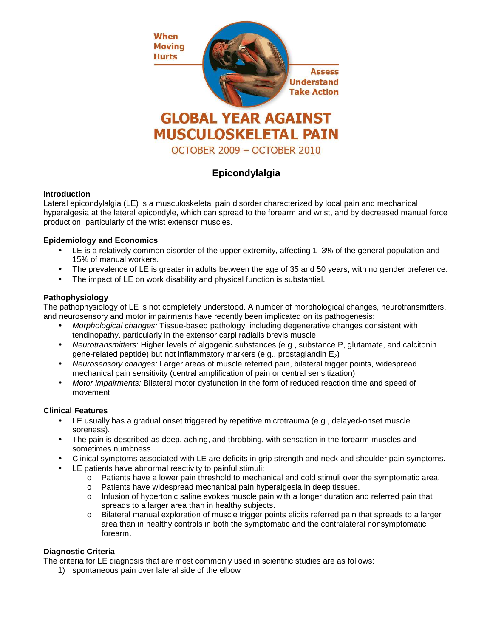

# **Epicondylalgia**

# **Introduction**

Lateral epicondylalgia (LE) is a musculoskeletal pain disorder characterized by local pain and mechanical hyperalgesia at the lateral epicondyle, which can spread to the forearm and wrist, and by decreased manual force production, particularly of the wrist extensor muscles.

# **Epidemiology and Economics**

- LE is a relatively common disorder of the upper extremity, affecting 1–3% of the general population and 15% of manual workers.
- The prevalence of LE is greater in adults between the age of 35 and 50 years, with no gender preference.
- The impact of LE on work disability and physical function is substantial.

## **Pathophysiology**

The pathophysiology of LE is not completely understood. A number of morphological changes, neurotransmitters, and neurosensory and motor impairments have recently been implicated on its pathogenesis:

- Morphological changes: Tissue-based pathology. including degenerative changes consistent with tendinopathy. particularly in the extensor carpi radialis brevis muscle
- Neurotransmitters: Higher levels of algogenic substances (e.g., substance P, glutamate, and calcitonin gene-related peptide) but not inflammatory markers (e.g., prostaglandin  $E_2$ )
- Neurosensory changes: Larger areas of muscle referred pain, bilateral trigger points, widespread mechanical pain sensitivity (central amplification of pain or central sensitization)
- Motor impairments: Bilateral motor dysfunction in the form of reduced reaction time and speed of movement

#### **Clinical Features**

- LE usually has a gradual onset triggered by repetitive microtrauma (e.g., delayed-onset muscle soreness).
- The pain is described as deep, aching, and throbbing, with sensation in the forearm muscles and sometimes numbness.
- Clinical symptoms associated with LE are deficits in grip strength and neck and shoulder pain symptoms.
- LE patients have abnormal reactivity to painful stimuli:
	- o Patients have a lower pain threshold to mechanical and cold stimuli over the symptomatic area.
	- o Patients have widespread mechanical pain hyperalgesia in deep tissues.
	- $\circ$  Infusion of hypertonic saline evokes muscle pain with a longer duration and referred pain that spreads to a larger area than in healthy subjects.
	- o Bilateral manual exploration of muscle trigger points elicits referred pain that spreads to a larger area than in healthy controls in both the symptomatic and the contralateral nonsymptomatic forearm.

# **Diagnostic Criteria**

The criteria for LE diagnosis that are most commonly used in scientific studies are as follows:

1) spontaneous pain over lateral side of the elbow